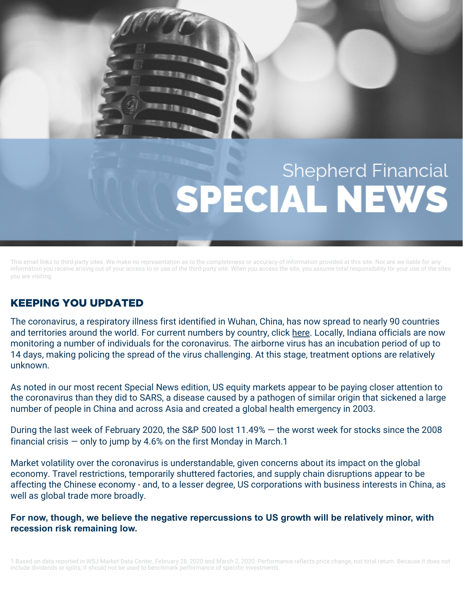## **Shepherd Financial** SPECIAL NEWS

This email links to third-party sites. We make no representation as to the completeness or accuracy of information provided at this site. Nor are we liable for any information you receive arising out of your access to or use of the third-party site. When you access the site, you assume total responsibility for your use of the sites you are visiting.

## KEEPING YOU UPDATED

The coronavirus, a respiratory illness first identified in Wuhan, China, has now spread to nearly 90 countries and territories around the world. For current numbers by country, click [here.](https://www.worldometers.info/coronavirus/) Locally, Indiana officials are now monitoring a number of individuals for the coronavirus. The airborne virus has an incubation period of up to 14 days, making policing the spread of the virus challenging. At this stage, treatment options are relatively unknown.

As noted in our most recent Special News edition, US equity markets appear to be paying closer attention to the coronavirus than they did to SARS, a disease caused by a pathogen of similar origin that sickened a large number of people in China and across Asia and created a global health emergency in 2003.

During the last week of February 2020, the S&P 500 lost 11.49% — the worst week for stocks since the 2008 financial crisis  $-$  only to jump by 4.6% on the first Monday in March.1

Market volatility over the coronavirus is understandable, given concerns about its impact on the global economy. Travel restrictions, temporarily shuttered factories, and supply chain disruptions appear to be affecting the Chinese economy - and, to a lesser degree, US corporations with business interests in China, as well as global trade more broadly.

**For now, though, we believe the negative repercussions to US growth will be relatively minor, with recession risk remaining low.**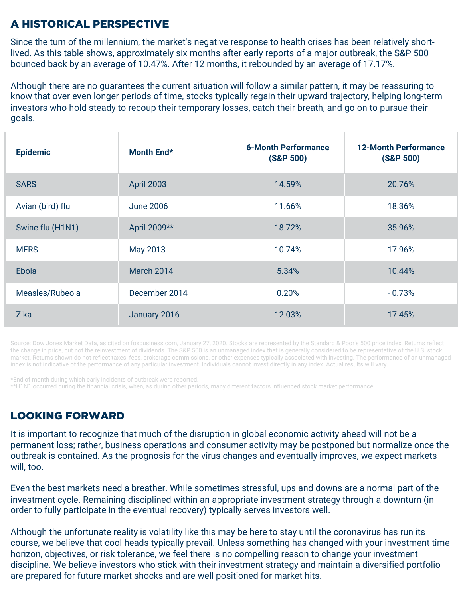## A HISTORICAL PERSPECTIVE

Since the turn of the millennium, the market's negative response to health crises has been relatively shortlived. As this table shows, approximately six months after early reports of a major outbreak, the S&P 500 bounced back by an average of 10.47%. After 12 months, it rebounded by an average of 17.17%.

Although there are no guarantees the current situation will follow a similar pattern, it may be reassuring to know that over even longer periods of time, stocks typically regain their upward trajectory, helping long-term investors who hold steady to recoup their temporary losses, catch their breath, and go on to pursue their goals.

| <b>Epidemic</b>  | Month End*        | <b>6-Month Performance</b><br>(S&P 500) | <b>12-Month Performance</b><br>(S&P 500) |
|------------------|-------------------|-----------------------------------------|------------------------------------------|
| <b>SARS</b>      | <b>April 2003</b> | 14.59%                                  | 20.76%                                   |
| Avian (bird) flu | <b>June 2006</b>  | 11.66%                                  | 18.36%                                   |
| Swine flu (H1N1) | April 2009**      | 18.72%                                  | 35.96%                                   |
| <b>MERS</b>      | May 2013          | 10.74%                                  | 17.96%                                   |
| Ebola            | <b>March 2014</b> | 5.34%                                   | 10.44%                                   |
| Measles/Rubeola  | December 2014     | 0.20%                                   | $-0.73%$                                 |
| <b>Zika</b>      | January 2016      | 12.03%                                  | 17.45%                                   |

Source: Dow Jones Market Data, as cited on foxbusiness.com, January 27, 2020. Stocks are represented by the Standard & Poor's 500 price index. Returns reflect the change in price, but not the reinvestment of dividends. The S&P 500 is an unmanaged index that is generally considered to be representative of the U.S. stock market. Returns shown do not reflect taxes, fees, brokerage commissions, or other expenses typically associated with investing. The performance of an unmanaged index is not indicative of the performance of any particular investment. Individuals cannot invest directly in any index. Actual results will vary.

\*End of month during which early incidents of outbreak were reported.

\*\*H1N1 occurred during the financial crisis, when, as during other periods, many different factors influenced stock market performance.

## LOOKING FORWARD

It is important to recognize that much of the disruption in global economic activity ahead will not be a permanent loss; rather, business operations and consumer activity may be postponed but normalize once the outbreak is contained. As the prognosis for the virus changes and eventually improves, we expect markets will, too.

Even the best markets need a breather. While sometimes stressful, ups and downs are a normal part of the investment cycle. Remaining disciplined within an appropriate investment strategy through a downturn (in order to fully participate in the eventual recovery) typically serves investors well.

Although the unfortunate reality is volatility like this may be here to stay until the coronavirus has run its course, we believe that cool heads typically prevail. Unless something has changed with your investment time horizon, objectives, or risk tolerance, we feel there is no compelling reason to change your investment discipline. We believe investors who stick with their investment strategy and maintain a diversified portfolio are prepared for future market shocks and are well positioned for market hits.